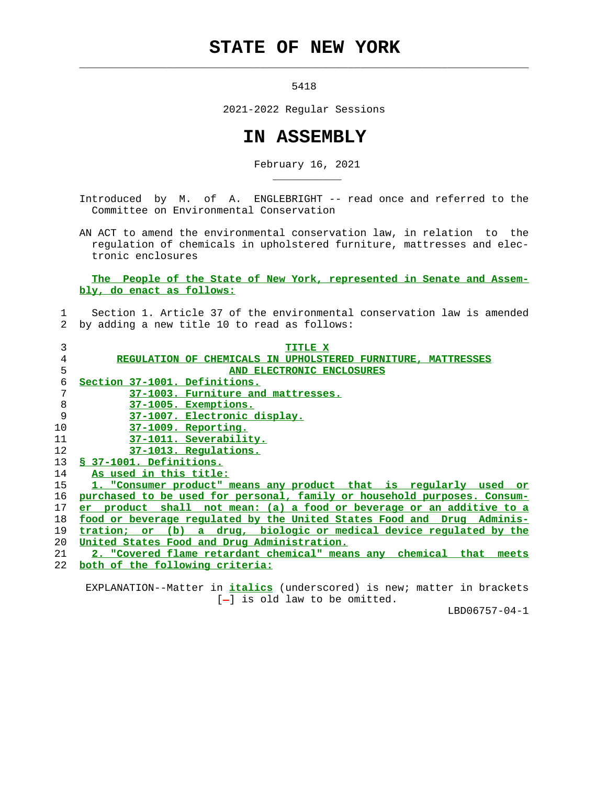## **STATE OF NEW YORK**

5418

 $\mathcal{L}_\text{max} = \frac{1}{2} \sum_{i=1}^{n} \frac{1}{2} \sum_{i=1}^{n} \frac{1}{2} \sum_{i=1}^{n} \frac{1}{2} \sum_{i=1}^{n} \frac{1}{2} \sum_{i=1}^{n} \frac{1}{2} \sum_{i=1}^{n} \frac{1}{2} \sum_{i=1}^{n} \frac{1}{2} \sum_{i=1}^{n} \frac{1}{2} \sum_{i=1}^{n} \frac{1}{2} \sum_{i=1}^{n} \frac{1}{2} \sum_{i=1}^{n} \frac{1}{2} \sum_{i=1}^{n} \frac{1$ 

\_\_\_\_\_\_\_\_\_\_\_

2021-2022 Regular Sessions

## **IN ASSEMBLY**

February 16, 2021

 Introduced by M. of A. ENGLEBRIGHT -- read once and referred to the Committee on Environmental Conservation

 AN ACT to amend the environmental conservation law, in relation to the regulation of chemicals in upholstered furniture, mattresses and elec tronic enclosures

 **The People of the State of New York, represented in Senate and Assem bly, do enact as follows:**

## 1 Section 1. Article 37 of the environmental conservation law is amended 2 by adding a new title 10 to read as follows:

| 3  | <b>TITLE X</b>                                                               |
|----|------------------------------------------------------------------------------|
| 4  | REGULATION OF CHEMICALS IN UPHOLSTERED FURNITURE, MATTRESSES                 |
| 5  | AND ELECTRONIC ENCLOSURES                                                    |
| 6  | Section 37-1001. Definitions.                                                |
| 7  | 37-1003. Furniture and mattresses.                                           |
| 8  | 37-1005. Exemptions.                                                         |
| 9  | 37-1007. Electronic display.                                                 |
| 10 | 37-1009. Reporting.                                                          |
| 11 | 37-1011. Severability.                                                       |
| 12 | 37-1013. Regulations.                                                        |
| 13 | § 37-1001. Definitions.                                                      |
| 14 | As used in this title:                                                       |
| 15 | 1. "Consumer product" means any product that is reqularly used or            |
| 16 | purchased to be used for personal, family or household purposes. Consum-     |
| 17 | product shall not mean: (a) a food or beverage or an additive to a<br>er.    |
| 18 | food or beverage regulated by the United States Food and<br>Drug Adminis-    |
| 19 | tration;<br>a drug, biologic or medical device regulated by the<br>(b)<br>or |
| 20 | United States Food and Drug Administration.                                  |
| 21 | 2. "Covered flame retardant chemical" means any chemical<br>that<br>meets    |
| 22 | both of the following criteria:                                              |
|    |                                                                              |

 EXPLANATION--Matter in **italics** (underscored) is new; matter in brackets  $[-]$  is old law to be omitted.

LBD06757-04-1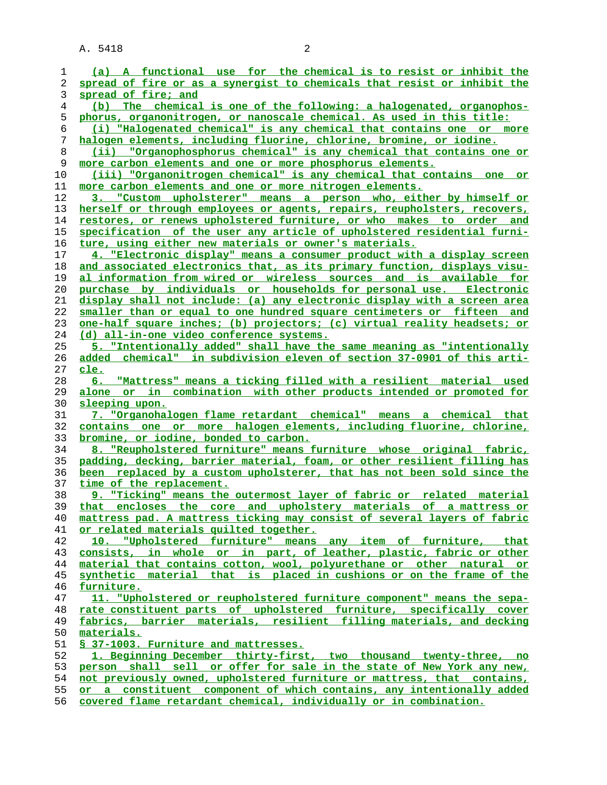A. 5418 2

| 1  | (a) A functional use for the chemical is to resist or inhibit the        |
|----|--------------------------------------------------------------------------|
| 2  | spread of fire or as a synergist to chemicals that resist or inhibit the |
| 3  | spread of fire; and                                                      |
| 4  | (b) The chemical is one of the following: a halogenated, organophos-     |
| 5  | phorus, organonitrogen, or nanoscale chemical. As used in this title:    |
| 6  | (i) "Halogenated chemical" is any chemical that contains one or more     |
| 7  | halogen elements, including fluorine, chlorine, bromine, or iodine.      |
| 8  | (ii) "Organophosphorus chemical" is any chemical that contains one or    |
| 9  | more carbon elements and one or more phosphorus elements.                |
| 10 | (iii) "Organonitrogen chemical" is any chemical that contains one<br>or  |
| 11 | more carbon elements and one or more nitrogen elements.                  |
| 12 | 3. "Custom upholsterer" means a person who, either by himself or         |
| 13 | herself or through employees or agents, repairs, reupholsters, recovers, |
| 14 | restores, or renews upholstered furniture, or who makes to order and     |
|    |                                                                          |
| 15 | specification of the user any article of upholstered residential furni-  |
| 16 | ture, using either new materials or owner's materials.                   |
| 17 | 4. "Electronic display" means a consumer product with a display screen   |
| 18 | and associated electronics that, as its primary function, displays visu- |
| 19 | al information from wired or wireless sources and is available for       |
| 20 | purchase by individuals or households for personal use. Electronic       |
| 21 | display shall not include: (a) any electronic display with a screen area |
| 22 | smaller than or equal to one hundred square centimeters or fifteen and   |
| 23 | one-half square inches; (b) projectors; (c) virtual reality headsets; or |
| 24 | (d) all-in-one video conference systems.                                 |
| 25 | 5. "Intentionally added" shall have the same meaning as "intentionally   |
| 26 | added chemical" in subdivision eleven of section 37-0901 of this arti-   |
| 27 | cle.                                                                     |
| 28 | 6. "Mattress" means a ticking filled with a resilient material used      |
| 29 | alone or in combination with other products intended or promoted for     |
| 30 | sleeping upon.                                                           |
| 31 | 7. "Organohalogen flame retardant chemical" means a chemical that        |
| 32 | contains one or more halogen elements, including fluorine, chlorine,     |
| 33 | bromine, or iodine, bonded to carbon.                                    |
| 34 | 8. "Reupholstered furniture" means furniture whose original fabric,      |
| 35 | padding, decking, barrier material, foam, or other resilient filling has |
| 36 | been replaced by a custom upholsterer, that has not been sold since the  |
| 37 | time of the replacement.                                                 |
| 38 | 9. "Ticking" means the outermost layer of fabric or related material     |
| 39 | that encloses the core and upholstery materials of a mattress or         |
| 40 | mattress pad. A mattress ticking may consist of several layers of fabric |
| 41 | or related materials quilted together.                                   |
| 42 | "Upholstered furniture" means any item of furniture, that<br>10.         |
| 43 | consists, in whole or in part, of leather, plastic, fabric or other      |
| 44 | material that contains cotton, wool, polyurethane or other natural or    |
| 45 | synthetic material that is placed in cushions or on the frame of the     |
| 46 | furniture.                                                               |
| 47 | 11. "Upholstered or reupholstered furniture component" means the sepa-   |
| 48 | rate constituent parts of upholstered furniture, specifically cover      |
| 49 | fabrics, barrier materials, resilient filling materials, and decking     |
| 50 | materials.                                                               |
| 51 |                                                                          |
| 52 | § 37-1003. Furniture and mattresses.                                     |
|    | 1. Beginning December thirty-first, two thousand twenty-three, no        |
| 53 | person shall sell or offer for sale in the state of New York any new,    |
| 54 | not previously owned, upholstered furniture or mattress, that contains,  |
| 55 | or a constituent component of which contains, any intentionally added    |
| 56 | covered flame retardant chemical, individually or in combination.        |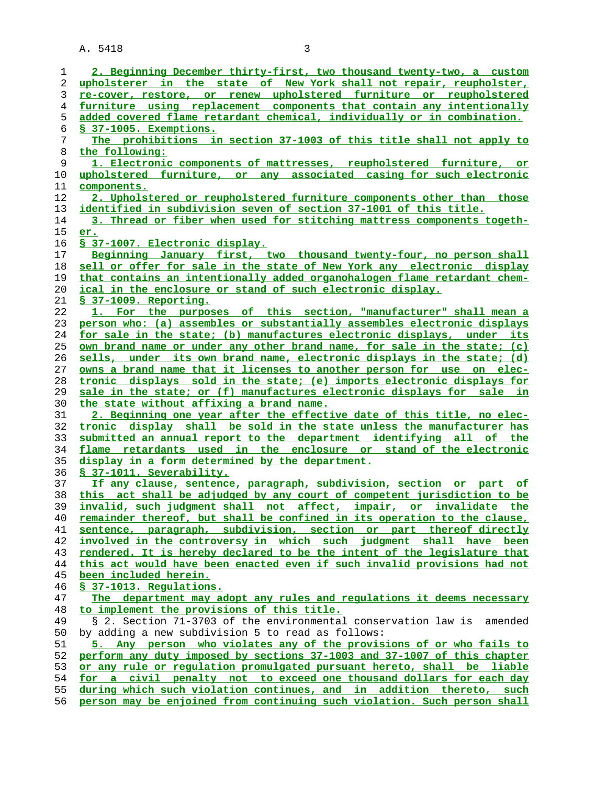A. 5418 3

**2. Beginning December thirty-first, two thousand twenty-two, a custom upholsterer in the state of New York shall not repair, reupholster, re-cover, restore, or renew upholstered furniture or reupholstered furniture using replacement components that contain any intentionally added covered flame retardant chemical, individually or in combination. § 37-1005. Exemptions. The prohibitions in section 37-1003 of this title shall not apply to the following: 1. Electronic components of mattresses, reupholstered furniture, or upholstered furniture, or any associated casing for such electronic components. 2. Upholstered or reupholstered furniture components other than those identified in subdivision seven of section 37-1001 of this title. 3. Thread or fiber when used for stitching mattress components togeth- er. § 37-1007. Electronic display. Beginning January first, two thousand twenty-four, no person shall sell or offer for sale in the state of New York any electronic display that contains an intentionally added organohalogen flame retardant chem- ical in the enclosure or stand of such electronic display. § 37-1009. Reporting. 1. For the purposes of this section, "manufacturer" shall mean a person who: (a) assembles or substantially assembles electronic displays for sale in the state; (b) manufactures electronic displays, under its own brand name or under any other brand name, for sale in the state; (c) sells, under its own brand name, electronic displays in the state; (d) owns a brand name that it licenses to another person for use on elec- tronic displays sold in the state; (e) imports electronic displays for sale in the state; or (f) manufactures electronic displays for sale in the state without affixing a brand name. 2. Beginning one year after the effective date of this title, no elec- tronic display shall be sold in the state unless the manufacturer has submitted an annual report to the department identifying all of the flame retardants used in the enclosure or stand of the electronic display in a form determined by the department. § 37-1011. Severability. If any clause, sentence, paragraph, subdivision, section or part of this act shall be adjudged by any court of competent jurisdiction to be invalid, such judgment shall not affect, impair, or invalidate the remainder thereof, but shall be confined in its operation to the clause, sentence, paragraph, subdivision, section or part thereof directly involved in the controversy in which such judgment shall have been rendered. It is hereby declared to be the intent of the legislature that this act would have been enacted even if such invalid provisions had not been included herein. § 37-1013. Regulations. The department may adopt any rules and regulations it deems necessary to implement the provisions of this title.** § 2. Section 71-3703 of the environmental conservation law is amended 50 by adding a new subdivision 5 to read as follows: **5. Any person who violates any of the provisions of or who fails to perform any duty imposed by sections 37-1003 and 37-1007 of this chapter or any rule or regulation promulgated pursuant hereto, shall be liable for a civil penalty not to exceed one thousand dollars for each day during which such violation continues, and in addition thereto, such person may be enjoined from continuing such violation. Such person shall**